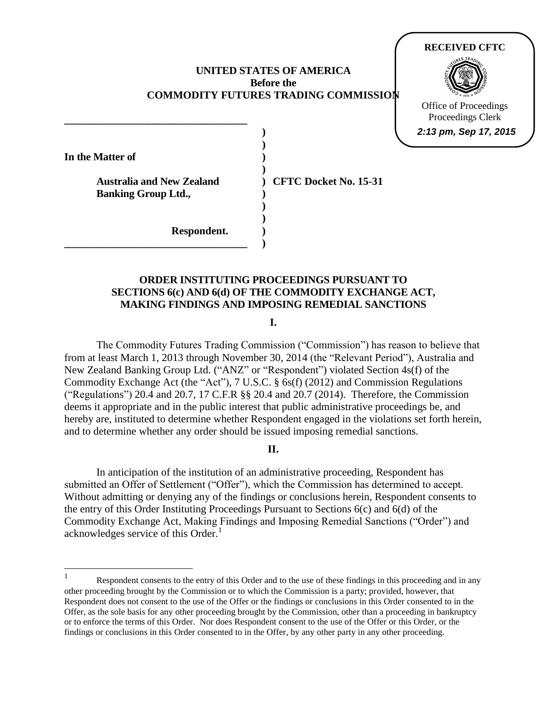# **UNITED STATES OF AMERICA Before the COMMODITY FUTURES TRADING COMMISSION**

**) )** 

**)** 

**) )** 

**In the Matter of**  )

 $\overline{a}$ 

Australia and New Zealand ) CFTC Docket No. 15-31 **Banking Group Ltd.,** (b)

**\_\_\_\_\_\_\_\_\_\_\_\_\_\_\_\_\_\_\_\_\_\_\_\_\_\_\_\_\_\_\_\_\_\_\_ )** 

**\_\_\_\_\_\_\_\_\_\_\_\_\_\_\_\_\_\_\_\_\_\_\_\_\_\_\_\_\_\_\_\_\_\_\_** 

**RECEIVED CFTC**

Office of Proceedings Proceedings Clerk **2:13 pm, Sep 17, 2015**

**Respondent. )** 

**)**

# **ORDER INSTITUTING PROCEEDINGS PURSUANT TO SECTIONS 6(c) AND 6(d) OF THE COMMODITY EXCHANGE ACT, MAKING FINDINGS AND IMPOSING REMEDIAL SANCTIONS**

**I.** 

 New Zealand Banking Group Ltd. ("ANZ" or "Respondent") violated Section 4s(f) of the Commodity Exchange Act (the "Act"), 7 U.S.C. § 6s(f) (2012) and Commission Regulations The Commodity Futures Trading Commission ("Commission") has reason to believe that from at least March 1, 2013 through November 30, 2014 (the "Relevant Period"), Australia and ("Regulations") 20.4 and 20.7, 17 C.F.R §§ 20.4 and 20.7 (2014). Therefore, the Commission deems it appropriate and in the public interest that public administrative proceedings be, and hereby are, instituted to determine whether Respondent engaged in the violations set forth herein, and to determine whether any order should be issued imposing remedial sanctions.

# **II.**

In anticipation of the institution of an administrative proceeding, Respondent has submitted an Offer of Settlement ("Offer"), which the Commission has determined to accept. Without admitting or denying any of the findings or conclusions herein, Respondent consents to the entry of this Order Instituting Proceedings Pursuant to Sections 6(c) and 6(d) of the Commodity Exchange Act, Making Findings and Imposing Remedial Sanctions ("Order") and acknowledges service of this Order.<sup>1</sup>

 1 other proceeding brought by the Commission or to which the Commission is a party; provided, however, that Respondent does not consent to the use of the Offer or the findings or conclusions in this Order consented to in the Offer, as the sole basis for any other proceeding brought by the Commission, other than a proceeding in bankruptcy or to enforce the terms of this Order. Nor does Respondent consent to the use of the Offer or this Order, or the findings or conclusions in this Order consented to in the Offer, by any other party in any other proceeding. Respondent consents to the entry of this Order and to the use of these findings in this proceeding and in any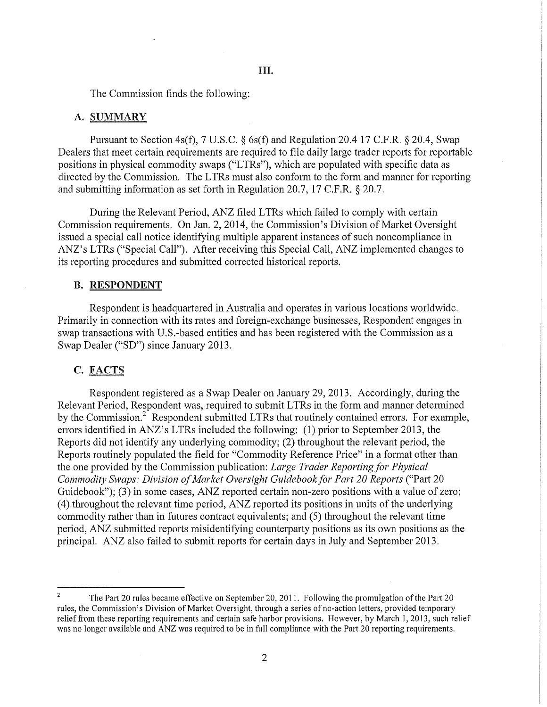The Commission finds the following:

#### A. SUMMARY

Pursuant to Section 4s(f), 7 U.S.C. § 6s(f) and Regulation 20.4 17 C.P.R. § 20.4, Swap Dealers that meet certain requirements are required to file daily large trader reports for reportable positions in physical commodity swaps ("L TRs"), which are populated with specific data as directed by the Commission. The LTRs must also conform to the form and manner for reporting and submitting information as set forth in Regulation 20.7, 17 C.F.R.  $\S$  20.7.

During the Relevant Period, ANZ filed LTRs which failed to comply with certain Commission requirements. On Jan. 2, 2014, the Commission's Division of Market Oversight issued a special call notice identifying multiple apparent instances of such noncompliance in ANZ's LTRs ("Special Call"). After receiving this Special Call, ANZ implemented changes to its reporting procedures and submitted corrected historical reports.

### B. RESPONDENT

Respondent is headquartered in Australia and operates in various locations worldwide. Primarily in connection with its rates and foreign-exchange businesses, Respondent engages in swap transactions with U.S.-based entities and has been registered with the Commission as a Swap Dealer ("SD") since January 2013.

# C. FACTS

Respondent registered as a Swap Dealer on January 29, 2013. Accordingly, during the Relevant Period, Respondent was, required to submit LTRs in the form and manner determined by the Commission.<sup>2</sup> Respondent submitted LTRs that routinely contained errors. For example, errors identified in ANZ's LTRs included the following: (1) prior to September 2013, the Reports did not identify any underlying commodity; (2) throughout the relevant period, the Reports routinely populated the field for "Commodity Reference Price" in a format other than the one provided by the Commission publication: *Large Trader Reporting for Physical Commodity Swaps: Division of Market Oversight Guidebook for Part 20 Reports* ("Part 20 Guidebook"); (3) in some cases,  $ANZ$  reported certain non-zero positions with a value of zero; (4) throughout the relevant time period, ANZ reported its positions in units of the underlying commodity rather than in futures contract equivalents; and (5) throughout the relevant time period, ANZ submitted reports misidentifying counterparty positions as its own positions as the principal. ANZ also failed to submit reports for certain days in July and September 2013.

The Part 20 rules became effective on September 20, 2011. Following the promulgation of the Part 20 rules, the Commission's Division of Market Oversight, through a series of no-action letters, provided temporary relief from these reporting requirements and certain safe harbor provisions. However, by March 1, 2013, such relief was no longer available and ANZ was required to be in full compliance with the Part 20 reporting requirements.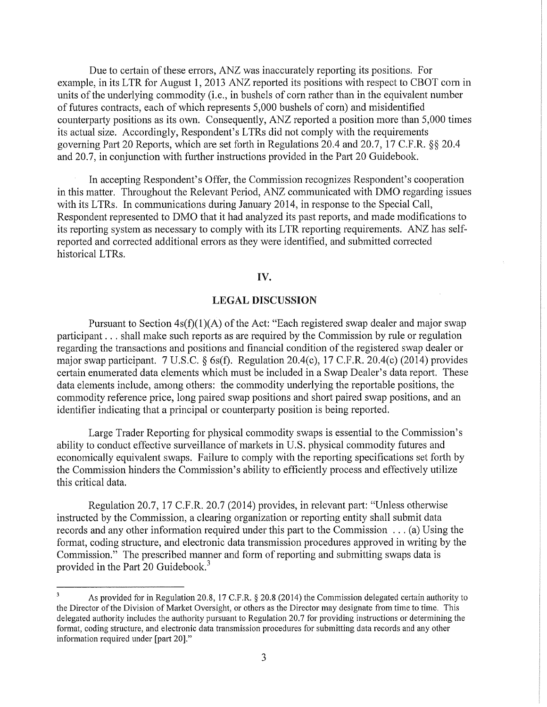Due to certain of these errors, ANZ was inaccurately reporting its positions. For example, in its LTR for August 1, 2013 ANZ reported its positions with respect to CBOT corn in units of the underlying commodity (i.e., in bushels of corn rather than in the equivalent number of futures contracts, each of which represents 5,000 bushels of corn) and misidentified counterparty positions as its own. Consequently, ANZ reported a position more than 5,000 times its actual size. Accordingly, Respondent's LTRs did not comply with the requirements governing Part 20 Reports, which are set forth in Regulations 20.4 and 20.7, 17 C.F.R. §§ 20.4 and 20.7, in conjunction with further instructions provided in the Part 20 Guidebook.

In accepting Respondent's Offer, the Commission recognizes Respondent's cooperation in this matter. Throughout the Relevant Period, ANZ communicated with DMO regarding issues with its LTRs. In communications during January 2014, in response to the Special Call, Respondent represented to DMO that it had analyzed its past reports, and made modifications to its reporting system as necessary to comply with its LTR reporting requirements. ANZ has selfreported and corrected additional errors as they were identified, and submitted corrected historical LTRs.

# IV.

## LEGAL DISCUSSION

Pursuant to Section  $4s(f)(1)(A)$  of the Act: "Each registered swap dealer and major swap participant ... shall make such reports as are required by the Commission by rule or regulation regarding the transactions and positions and financial condition of the registered swap dealer or major swap participant. 7 U.S.C. § 6s(f). Regulation 20.4(c), 17 C.F.R. 20.4(c) (2014) provides certain enumerated data elements which must be included in a Swap Dealer's data report. These data elements include, among others: the commodity underlying the reportable positions, the commodity reference price, long paired swap positions and short paired swap positions, and an identifier indicating that a principal or counterparty position is being reported.

Large Trader Reporting for physical commodity swaps is essential to the Commission's ability to conduct effective surveillance of markets in U.S. physical commodity futures and economically equivalent swaps. Failure to comply with the reporting specifications set forth by the Commission hinders the Commission's ability to efficiently process and effectively utilize this critical data.

Regulation 20.7, 17 C.F.R. 20.7 (2014) provides, in relevant part: "Unless otherwise instructed by the Commission, a clearing organization or reporting entity shall submit data records and any other information required under this part to the Commission ... (a) Using the format, coding structure, and electronic data transmission procedures approved in writing by the Commission." The prescribed manner and form of reporting and submitting swaps data is provided in the Part 20 Guidebook.<sup>3</sup>

As provided for in Regulation 20.8, 17 C.F.R.  $\S$  20.8 (2014) the Commission delegated certain authority to the Director ofthe Division of Market Oversight, or others as the Director may designate from time to time. This delegated authority includes the authority pursuant to Regulation 20.7 for providing instructions or determining the format, coding structure, and electronic data transmission procedures for submitting data records and any other information required under [part 20]."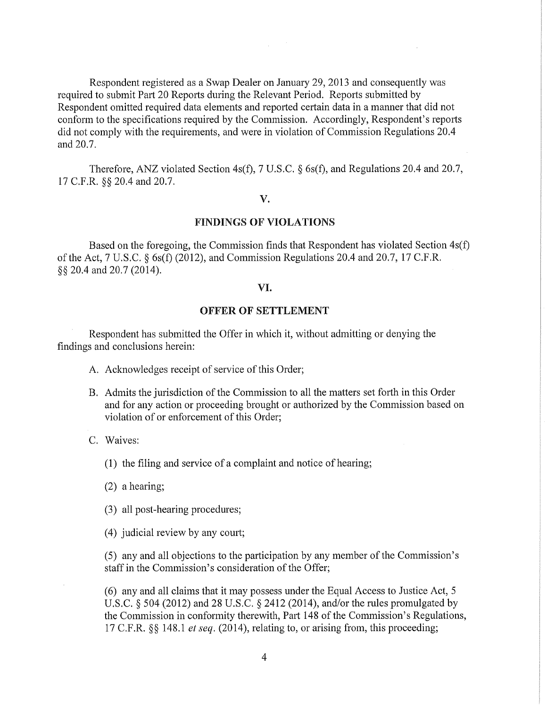Respondent registered as a Swap Dealer on January 29, 2013 and consequently was required to submit Part 20 Reports during the Relevant Period. Reports submitted by Respondent omitted required data elements and reported certain data in a manner that did not conform to the specifications required by the Commission. Accordingly, Respondent's reports did not comply with the requirements, and were in violation of Commission Regulations 20.4 and 20.7.

Therefore, ANZ violated Section 4s(f), 7 U.S.C. § 6s(f), and Regulations 20.4 and 20.7, 17 C.F.R. §§ 20.4 and 20.7.

#### v.

# FINDINGS OF VIOLATIONS

Based on the foregoing, the Commission finds that Respondent has violated Section 4s(f) of the Act, 7 U.S.C.  $\S$  6s(f) (2012), and Commission Regulations 20.4 and 20.7, 17 C.F.R. §§ 20.4 and 20.7 (2014).

# VI.

# OFFER OF SETTLEMENT

Respondent has submitted the Offer in which it, without admitting or denying the findings and conclusions herein:

- A. Acknowledges receipt of service of this Order;
- B. Admits the jurisdiction of the Commission to all the matters set forth in this Order and for any action or proceeding brought or authorized by the Commission based on violation of or enforcement of this Order;
- C. Waives:
	- (1) the filing and service of a complaint and notice of hearing;
	- $(2)$  a hearing;
	- (3) all post-hearing procedures;
	- (4) judicial review by any court;

(5) any and all objections to the participation by any member of the Commission's staff in the Commission's consideration of the Offer;

(6) any and all claims that it may possess under the Equal Access to Justice Act, 5 U.S.C. § 504 (2012) and 28 U.S.C. § 2412 (2014), and/or the rules promulgated by the Commission in conformity therewith, Part 148 of the Commission's Regulations, 17 C.F.R. §§ 148.1 *et seq.* (2014), relating to, or arising from, this proceeding;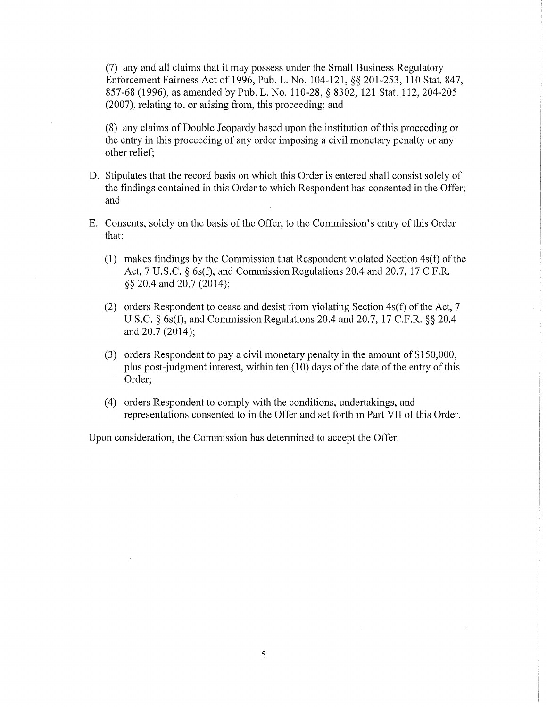(7) any and all claims that it may possess under the Small Business Regulatory Enforcement Fairness Act of 1996, Pub. L. No. 104-121, §§ 201-253, 110 Stat. 847, 857-68 (1996), as amended by Pub. L. No. 110-28, § 8302, 121 Stat. 112,204-205 (2007), relating to, or arising from, this proceeding; and

(8) any claims of Double Jeopardy based upon the institution ofthis proceeding or the entry in this proceeding of any order imposing a civil monetary penalty or any other relief;

- D. Stipulates that the record basis on which this Order is entered shall consist solely of the findings contained in this Order to which Respondent has consented in the Offer; and
- E. Consents, solely on the basis of the Offer, to the Commission's entry of this Order that:
	- (1) makes findings by the Commission that Respondent violated Section  $4s(f)$  of the Act, 7 U.S.C. § 6s(f), and Commission Regulations 20.4 and 20.7, 17 C.F.R. §§ 20.4 and 20.7 (2014);
	- (2) orders Respondent to cease and desist from violating Section  $4s(f)$  of the Act, 7 U.S.C. § 6s(f), and Commission Regulations 20.4 and 20.7, 17 C.F.R. §§ 20.4 and 20.7 (2014);
	- (3) orders Respondent to pay a civil monetary penalty in the amount of \$150,000, plus post-judgment interest, within ten  $(10)$  days of the date of the entry of this Order;
	- (4) orders Respondent to comply with the conditions, undertakings, and representations consented to in the Offer and set forth in Part VII of this Order.

Upon consideration, the Commission has determined to accept the Offer.

5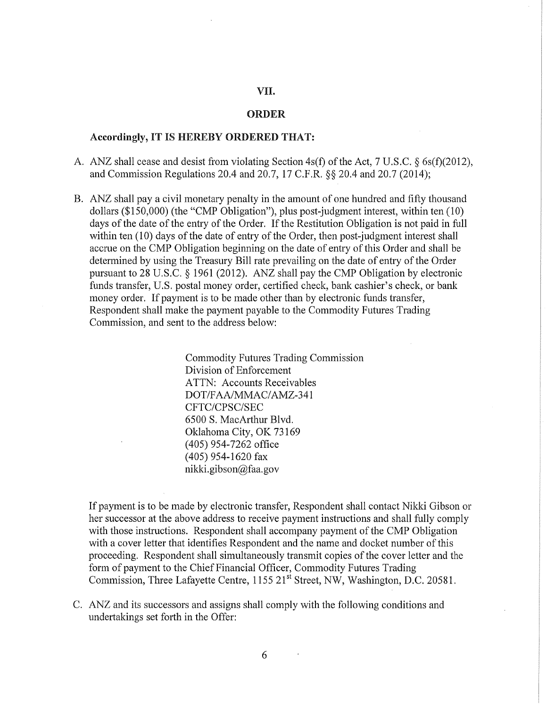# VII.

# ORDER

# Accordingly, IT IS HEREBY ORDERED THAT:

- A. ANZ shall cease and desist from violating Section 4s(f) of the Act, 7 U.S.C. § 6s(f)(2012), and Commission Regulations 20.4 and 20.7, 17 C.P.R. §§ 20.4 and 20.7 (2014);
- B. ANZ shall pay a civil monetary penalty in the amount of one hundred and fifty thousand dollars (\$150,000) (the "CMP Obligation"), plus post-judgment interest, within ten (10) days of the date of the entry of the Order. If the Restitution Obligation is not paid in full within ten (10) days of the date of entry of the Order, then post-judgment interest shall accrue on the CMP Obligation beginning on the date of entry of this Order and shall be determined by using the Treasury Bill rate prevailing on the date of entry of the Order pursuant to 28 U.S.C. § 1961 (2012). ANZ shall pay the CMP Obligation by electronic funds transfer, U.S. postal money order, certified check, bank cashier's check, or bank money order. If payment is to be made other than by electronic funds transfer, Respondent shall make the payment payable to the Commodity Futures Trading Commission, and sent to the address below:

Commodity Futures Trading Commission Division of Enforcement ATTN: Accounts Receivables DOT/FAA/MMAC/AMZ-341 CFTC/CPSC/SEC 6500 S. MacArthur Blvd. Oklahoma City, OK 73169 (405) 954-7262 office (405) 954-1620 fax nikki.gibson@faa.gov

If payment is to be made by electronic transfer, Respondent shall contact Nikki Gibson or her successor at the above address to receive payment instructions and shall fully comply with those instructions. Respondent shall accompany payment of the CMP Obligation with a cover letter that identifies Respondent and the name and docket number of this proceeding. Respondent shall simultaneously transmit copies of the cover letter and the form of payment to the Chief Financial Officer, Commodity Futures Trading Commission, Three Lafayette Centre, 1155 21<sup>st</sup> Street, NW, Washington, D.C. 20581.

C. ANZ and its successors and assigns shall comply with the following conditions and undertakings set forth in the Offer: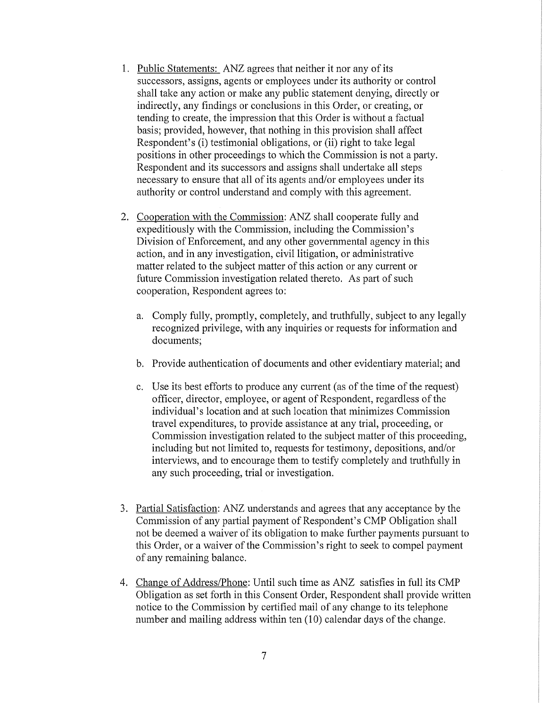- 1. Public Statements: ANZ agrees that neither it nor any of its successors, assigns, agents or employees under its authority or control shall take any action or make any public statement denying, directly or indirectly, any findings or conclusions in this Order, or creating, or tending to create, the impression that this Order is without a factual basis; provided, however, that nothing in this provision shall affect Respondent's (i) testimonial obligations, or (ii) right to take legal positions in other proceedings to which the Commission is not a party. Respondent and its successors and assigns shall undertake all steps necessary to ensure that all of its agents and/or employees under its authority or control understand and comply with this agreement.
- 2. Cooperation with the Commission: ANZ shall cooperate fully and expeditiously with the Commission, including the Commission's Division of Enforcement, and any other governmental agency in this action, and in any investigation, civil litigation, or administrative matter related to the subject matter of this action or any current or future Commission investigation related thereto. As part of such cooperation, Respondent agrees to:
	- a. Comply fully, promptly, completely, and truthfully, subject to any legally recognized privilege, with any inquiries or requests for information and documents;
	- b. Provide authentication of documents and other evidentiary material; and
	- c. Use its best efforts to produce any current (as of the time of the request) officer, director, employee, or agent of Respondent, regardless of the individual's location and at such location that minimizes Commission travel expenditures, to provide assistance at any trial, proceeding, or Commission investigation related to the subject matter of this proceeding, including but not limited to, requests for testimony, depositions, and/or interviews, and to encourage them to testify completely and truthfully in any such proceeding, trial or investigation.
- 3. Partial Satisfaction: ANZ understands and agrees that any acceptance by the Commission of any partial payment of Respondent's CMP Obligation shall not be deemed a waiver of its obligation to make further payments pursuant to this Order, or a waiver of the Commission's right to seek to compel payment of any remaining balance.
- 4. Change of Address/Phone: Until such time as ANZ satisfies in full its CMP Obligation as set forth in this Consent Order, Respondent shall provide written notice to the Commission by certified mail of any change to its telephone number and mailing address within ten (10) calendar days of the change.